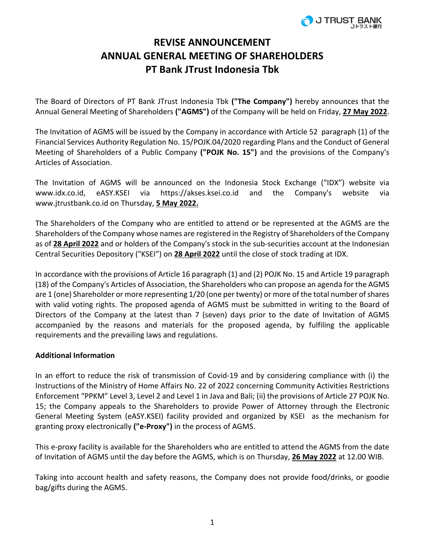

## **REVISE ANNOUNCEMENT ANNUAL GENERAL MEETING OF SHAREHOLDERS PT Bank JTrust Indonesia Tbk**

The Board of Directors of PT Bank JTrust Indonesia Tbk **("The Company")** hereby announces that the Annual General Meeting of Shareholders **("AGMS")** of the Company will be held on Friday, **27 May 2022**.

The Invitation of AGMS will be issued by the Company in accordance with Article 52 paragraph (1) of the Financial Services Authority Regulation No. 15/POJK.04/2020 regarding Plans and the Conduct of General Meeting of Shareholders of a Public Company **("POJK No. 15")** and the provisions of the Company's Articles of Association.

The Invitation of AGMS will be announced on the Indonesia Stock Exchange ("IDX") website via www.idx.co.id, eASY.KSEI via https://akses.ksei.co.id and the Company's website via www.jtrustbank.co.id on Thursday, **5 May 2022.**

The Shareholders of the Company who are entitled to attend or be represented at the AGMS are the Shareholders of the Company whose names are registered in the Registry of Shareholders of the Company as of **28 April 2022** and or holders of the Company's stock in the sub-securities account at the Indonesian Central Securities Depository ("KSEI") on **28 April 2022** until the close of stock trading at IDX.

In accordance with the provisions of Article 16 paragraph (1) and (2) POJK No. 15 and Article 19 paragraph (18) of the Company's Articles of Association, the Shareholders who can propose an agenda for the AGMS are 1 (one) Shareholder or more representing 1/20 (one per twenty) or more of the total number of shares with valid voting rights. The proposed agenda of AGMS must be submitted in writing to the Board of Directors of the Company at the latest than 7 (seven) days prior to the date of Invitation of AGMS accompanied by the reasons and materials for the proposed agenda, by fulfiling the applicable requirements and the prevailing laws and regulations.

## **Additional Information**

In an effort to reduce the risk of transmission of Covid-19 and by considering compliance with (i) the Instructions of the Ministry of Home Affairs No. 22 of 2022 concerning Community Activities Restrictions Enforcement "PPKM" Level 3, Level 2 and Level 1 in Java and Bali; (ii) the provisions of Article 27 POJK No. 15; the Company appeals to the Shareholders to provide Power of Attorney through the Electronic General Meeting System (eASY.KSEI) facility provided and organized by KSEI as the mechanism for granting proxy electronically **("e-Proxy")** in the process of AGMS.

This e-proxy facility is available for the Shareholders who are entitled to attend the AGMS from the date of Invitation of AGMS until the day before the AGMS, which is on Thursday, **26 May 2022** at 12.00 WIB.

Taking into account health and safety reasons, the Company does not provide food/drinks, or goodie bag/gifts during the AGMS.